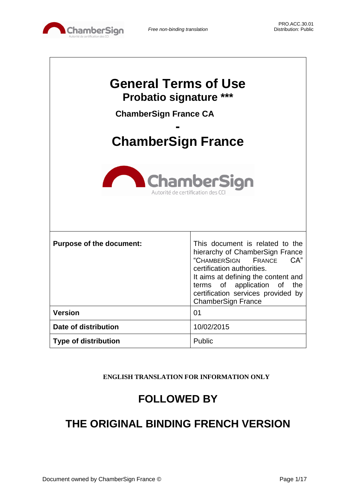

| <b>General Terms of Use</b><br><b>Probatio signature ***</b><br><b>ChamberSign France CA</b><br><b>ChamberSign France</b> |                                                                                                                                                                                                                                                                                   |  |
|---------------------------------------------------------------------------------------------------------------------------|-----------------------------------------------------------------------------------------------------------------------------------------------------------------------------------------------------------------------------------------------------------------------------------|--|
| <b>ChamberSign</b><br>Autorité de certification des CC                                                                    |                                                                                                                                                                                                                                                                                   |  |
| <b>Purpose of the document:</b>                                                                                           | This document is related to the<br>hierarchy of ChamberSign France<br>"CHAMBERSIGN<br>CA"<br><b>FRANCE</b><br>certification authorities.<br>It aims at defining the content and<br>terms of application of the<br>certification services provided by<br><b>ChamberSign France</b> |  |
| <b>Version</b>                                                                                                            | 01                                                                                                                                                                                                                                                                                |  |
| Date of distribution                                                                                                      | 10/02/2015                                                                                                                                                                                                                                                                        |  |
| <b>Type of distribution</b>                                                                                               | Public                                                                                                                                                                                                                                                                            |  |

**ENGLISH TRANSLATION FOR INFORMATION ONLY**

# **FOLLOWED BY**

# **THE ORIGINAL BINDING FRENCH VERSION**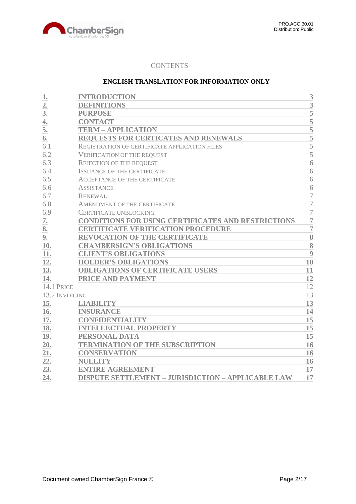

# **CONTENTS**

## **ENGLISH TRANSLATION FOR INFORMATION ONLY**

| 1.               | <b>INTRODUCTION</b>                                       | 3                  |
|------------------|-----------------------------------------------------------|--------------------|
| $\overline{2}$ . | <b>DEFINITIONS</b>                                        | 3                  |
| 3 <sub>l</sub>   | <b>PURPOSE</b>                                            | 5                  |
| $\overline{4}$ . | <b>CONTACT</b>                                            | $\overline{5}$     |
| 5.               | <b>TERM - APPLICATION</b>                                 |                    |
| 6.               | REQUESTS FOR CERTICATES AND RENEWALS                      | $\frac{5}{5}$      |
| 6.1              | REGISTRATION OF CERTIFICATE APPLICATION FILES             | $\overline{5}$     |
| 6.2              | <b>VERIFICATION OF THE REQUEST</b>                        | 5                  |
| 6.3              | <b>REJECTION OF THE REQUEST</b>                           | 6                  |
| 6.4              | <b>ISSUANCE OF THE CERTIFICATE</b>                        | 6                  |
| 6.5              | <b>ACCEPTANCE OF THE CERTIFICATE</b>                      | 6                  |
| 6.6              | <b>ASSISTANCE</b>                                         | 6                  |
| 6.7              | <b>RENEWAL</b>                                            | 7                  |
| 6.8              | AMENDMENT OF THE CERTIFICATE                              | $\overline{7}$     |
| 6.9              | <b>CERTIFICATE UNBLOCKING</b>                             | $\overline{7}$     |
| 7.               | CONDITIONS FOR USING CERTIFICATES AND RESTRICTIONS        | $\overline{7}$     |
| 8.               | <b>CERTIFICATE VERIFICATION PROCEDURE</b>                 | $\overline{7}$     |
| 9.               | <b>REVOCATION OF THE CERTIFICATE</b>                      | $\overline{\bf 8}$ |
| 10.              | <b>CHAMBERSIGN'S OBLIGATIONS</b>                          | 8                  |
| 11.              | <b>CLIENT'S OBLIGATIONS</b>                               | 9                  |
| 12.              | <b>HOLDER'S OBLIGATIONS</b>                               | 10                 |
| 13.              | <b>OBLIGATIONS OF CERTIFICATE USERS</b>                   | 11                 |
| 14.              | <b>PRICE AND PAYMENT</b>                                  | 12                 |
| 14.1 PRICE       |                                                           | 12                 |
| 13.2 INVOICING   |                                                           | 13                 |
| 15.              | <b>LIABILITY</b>                                          | 13                 |
| 16.              | <b>INSURANCE</b>                                          | 14                 |
| 17.              | <b>CONFIDENTIALITY</b>                                    | 15                 |
| 18.              | <b>INTELLECTUAL PROPERTY</b>                              | 15                 |
| 19.              | PERSONAL DATA                                             | 15                 |
| 20.              | <b>TERMINATION OF THE SUBSCRIPTION</b>                    | 16                 |
| 21.              | <b>CONSERVATION</b>                                       | 16                 |
| 22.              | <b>NULLITY</b>                                            | 16                 |
| 23.              | <b>ENTIRE AGREEMENT</b>                                   | 17                 |
| 24.              | <b>DISPUTE SETTLEMENT - JURISDICTION - APPLICABLE LAW</b> | 17                 |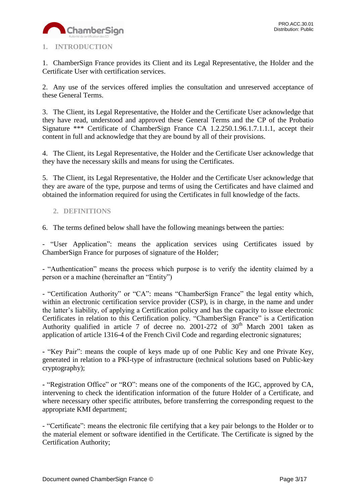

# <span id="page-2-0"></span>**1. INTRODUCTION**

1. ChamberSign France provides its Client and its Legal Representative, the Holder and the Certificate User with certification services.

2. Any use of the services offered implies the consultation and unreserved acceptance of these General Terms.

3. The Client, its Legal Representative, the Holder and the Certificate User acknowledge that they have read, understood and approved these General Terms and the CP of the Probatio Signature \*\*\* Certificate of ChamberSign France CA 1.2.250.1.96.1.7.1.1.1, accept their content in full and acknowledge that they are bound by all of their provisions.

4. The Client, its Legal Representative, the Holder and the Certificate User acknowledge that they have the necessary skills and means for using the Certificates.

5. The Client, its Legal Representative, the Holder and the Certificate User acknowledge that they are aware of the type, purpose and terms of using the Certificates and have claimed and obtained the information required for using the Certificates in full knowledge of the facts.

# <span id="page-2-1"></span>**2. DEFINITIONS**

6. The terms defined below shall have the following meanings between the parties:

- "User Application": means the application services using Certificates issued by ChamberSign France for purposes of signature of the Holder;

- "Authentication" means the process which purpose is to verify the identity claimed by a person or a machine (hereinafter an "Entity")

- "Certification Authority" or "CA": means "ChamberSign France" the legal entity which, within an electronic certification service provider (CSP), is in charge, in the name and under the latter's liability, of applying a Certification policy and has the capacity to issue electronic Certificates in relation to this Certification policy. "ChamberSign France" is a Certification Authority qualified in article 7 of decree no. 2001-272 of  $30<sup>th</sup>$  March 2001 taken as application of article 1316-4 of the French Civil Code and regarding electronic signatures;

**-** "Key Pair": means the couple of keys made up of one Public Key and one Private Key, generated in relation to a PKI-type of infrastructure (technical solutions based on Public-key cryptography);

**-** "Registration Office" or "RO": means one of the components of the IGC, approved by CA, intervening to check the identification information of the future Holder of a Certificate, and where necessary other specific attributes, before transferring the corresponding request to the appropriate KMI department;

- "Certificate": means the electronic file certifying that a key pair belongs to the Holder or to the material element or software identified in the Certificate. The Certificate is signed by the Certification Authority;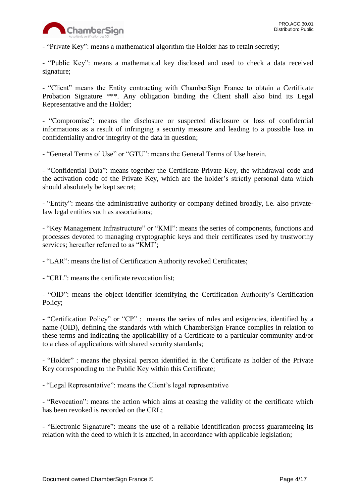

- "Private Key": means a mathematical algorithm the Holder has to retain secretly;

- "Public Key": means a mathematical key disclosed and used to check a data received signature;

- "Client" means the Entity contracting with ChamberSign France to obtain a Certificate Probation Signature \*\*\*. Any obligation binding the Client shall also bind its Legal Representative and the Holder;

- "Compromise": means the disclosure or suspected disclosure or loss of confidential informations as a result of infringing a security measure and leading to a possible loss in confidentiality and/or integrity of the data in question;

- "General Terms of Use" or "GTU": means the General Terms of Use herein.

**-** "Confidential Data": means together the Certificate Private Key, the withdrawal code and the activation code of the Private Key, which are the holder's strictly personal data which should absolutely be kept secret;

- "Entity": means the administrative authority or company defined broadly, i.e. also privatelaw legal entities such as associations;

- "Key Management Infrastructure" or "KMI": means the series of components, functions and processes devoted to managing cryptographic keys and their certificates used by trustworthy services; hereafter referred to as "KMI";

- "LAR": means the list of Certification Authority revoked Certificates;

- "CRL": means the certificate revocation list;

- "OID": means the object identifier identifying the Certification Authority's Certification Policy;

**-** "Certification Policy" or "CP" : means the series of rules and exigencies, identified by a name (OID), defining the standards with which ChamberSign France complies in relation to these terms and indicating the applicability of a Certificate to a particular community and/or to a class of applications with shared security standards;

- "Holder" : means the physical person identified in the Certificate as holder of the Private Key corresponding to the Public Key within this Certificate;

- "Legal Representative": means the Client's legal representative

**-** "Revocation": means the action which aims at ceasing the validity of the certificate which has been revoked is recorded on the CRL;

**-** "Electronic Signature": means the use of a reliable identification process guaranteeing its relation with the deed to which it is attached, in accordance with applicable legislation;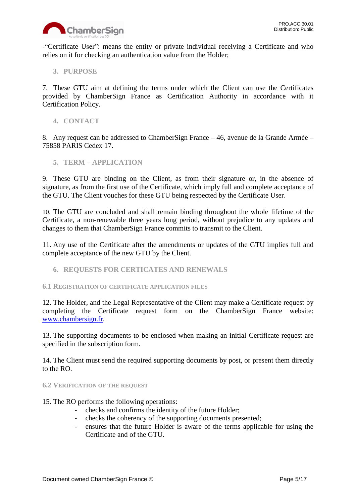

-"Certificate User": means the entity or private individual receiving a Certificate and who relies on it for checking an authentication value from the Holder;

<span id="page-4-0"></span>**3. PURPOSE**

7. These GTU aim at defining the terms under which the Client can use the Certificates provided by ChamberSign France as Certification Authority in accordance with it Certification Policy.

<span id="page-4-1"></span>**4. CONTACT**

8. Any request can be addressed to ChamberSign France – 46, avenue de la Grande Armée – 75858 PARIS Cedex 17.

<span id="page-4-2"></span>**5. TERM – APPLICATION**

9. These GTU are binding on the Client, as from their signature or, in the absence of signature, as from the first use of the Certificate, which imply full and complete acceptance of the GTU. The Client vouches for these GTU being respected by the Certificate User.

10. The GTU are concluded and shall remain binding throughout the whole lifetime of the Certificate, a non-renewable three years long period, without prejudice to any updates and changes to them that ChamberSign France commits to transmit to the Client.

11. Any use of the Certificate after the amendments or updates of the GTU implies full and complete acceptance of the new GTU by the Client.

<span id="page-4-3"></span>**6. REQUESTS FOR CERTICATES AND RENEWALS**

<span id="page-4-4"></span>**6.1 REGISTRATION OF CERTIFICATE APPLICATION FILES**

12. The Holder, and the Legal Representative of the Client may make a Certificate request by completing the Certificate request form on the ChamberSign France website: [www.chambersign.fr.](http://www.chambersign.fr/)

13. The supporting documents to be enclosed when making an initial Certificate request are specified in the subscription form.

14. The Client must send the required supporting documents by post, or present them directly to the RO.

#### <span id="page-4-5"></span>**6.2 VERIFICATION OF THE REQUEST**

- 15. The RO performs the following operations:
	- checks and confirms the identity of the future Holder;
	- checks the coherency of the supporting documents presented;
	- ensures that the future Holder is aware of the terms applicable for using the Certificate and of the GTU.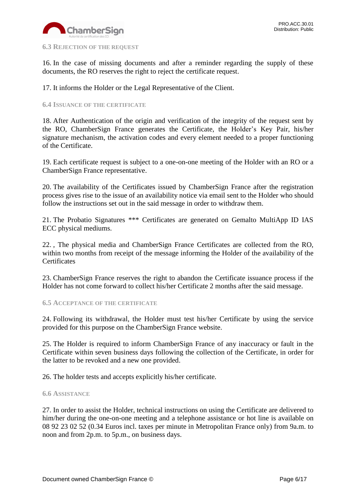

#### <span id="page-5-0"></span>**6.3 REJECTION OF THE REQUEST**

16. In the case of missing documents and after a reminder regarding the supply of these documents, the RO reserves the right to reject the certificate request.

17. It informs the Holder or the Legal Representative of the Client.

#### <span id="page-5-1"></span>**6.4 ISSUANCE OF THE CERTIFICATE**

18. After Authentication of the origin and verification of the integrity of the request sent by the RO, ChamberSign France generates the Certificate, the Holder's Key Pair, his/her signature mechanism, the activation codes and every element needed to a proper functioning of the Certificate.

19. Each certificate request is subject to a one-on-one meeting of the Holder with an RO or a ChamberSign France representative.

20. The availability of the Certificates issued by ChamberSign France after the registration process gives rise to the issue of an availability notice via email sent to the Holder who should follow the instructions set out in the said message in order to withdraw them.

21. The Probatio Signatures \*\*\* Certificates are generated on Gemalto MultiApp ID IAS ECC physical mediums.

22. , The physical media and ChamberSign France Certificates are collected from the RO, within two months from receipt of the message informing the Holder of the availability of the **Certificates** 

23. ChamberSign France reserves the right to abandon the Certificate issuance process if the Holder has not come forward to collect his/her Certificate 2 months after the said message.

<span id="page-5-2"></span>**6.5 ACCEPTANCE OF THE CERTIFICATE**

24. Following its withdrawal, the Holder must test his/her Certificate by using the service provided for this purpose on the ChamberSign France website.

25. The Holder is required to inform ChamberSign France of any inaccuracy or fault in the Certificate within seven business days following the collection of the Certificate, in order for the latter to be revoked and a new one provided.

26. The holder tests and accepts explicitly his/her certificate.

#### <span id="page-5-3"></span>**6.6 ASSISTANCE**

27. In order to assist the Holder, technical instructions on using the Certificate are delivered to him/her during the one-on-one meeting and a telephone assistance or hot line is available on 08 92 23 02 52 (0.34 Euros incl. taxes per minute in Metropolitan France only) from 9a.m. to noon and from 2p.m. to 5p.m., on business days.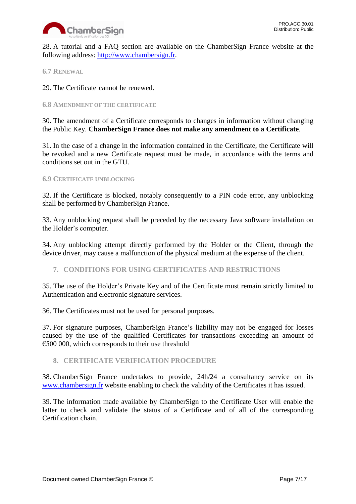

28. A tutorial and a FAQ section are available on the ChamberSign France website at the following address: [http://www.chambersign.fr.](http://www.chambersign.fr/)

<span id="page-6-0"></span>**6.7 RENEWAL**

29. The Certificate cannot be renewed.

#### <span id="page-6-1"></span>**6.8 AMENDMENT OF THE CERTIFICATE**

30. The amendment of a Certificate corresponds to changes in information without changing the Public Key. **ChamberSign France does not make any amendment to a Certificate**.

31. In the case of a change in the information contained in the Certificate, the Certificate will be revoked and a new Certificate request must be made, in accordance with the terms and conditions set out in the GTU.

#### <span id="page-6-2"></span>**6.9 CERTIFICATE UNBLOCKING**

32. If the Certificate is blocked, notably consequently to a PIN code error, any unblocking shall be performed by ChamberSign France.

33. Any unblocking request shall be preceded by the necessary Java software installation on the Holder's computer.

34. Any unblocking attempt directly performed by the Holder or the Client, through the device driver, may cause a malfunction of the physical medium at the expense of the client.

<span id="page-6-3"></span>**7. CONDITIONS FOR USING CERTIFICATES AND RESTRICTIONS**

35. The use of the Holder's Private Key and of the Certificate must remain strictly limited to Authentication and electronic signature services.

36. The Certificates must not be used for personal purposes.

37. For signature purposes, ChamberSign France's liability may not be engaged for losses caused by the use of the qualified Certificates for transactions exceeding an amount of  $\epsilon$ 500 000, which corresponds to their use threshold

<span id="page-6-4"></span>**8. CERTIFICATE VERIFICATION PROCEDURE**

38. ChamberSign France undertakes to provide, 24h/24 a consultancy service on its [www.chambersign.fr](http://www.chambersign.fr/) website enabling to check the validity of the Certificates it has issued.

39. The information made available by ChamberSign to the Certificate User will enable the latter to check and validate the status of a Certificate and of all of the corresponding Certification chain.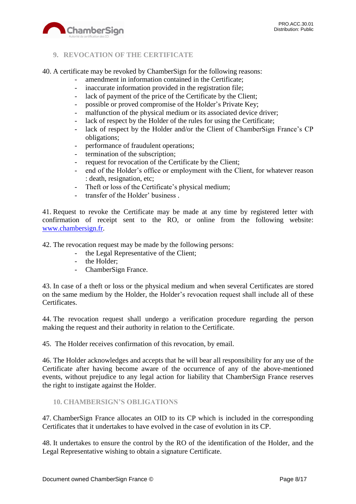

# <span id="page-7-0"></span>**9. REVOCATION OF THE CERTIFICATE**

40. A certificate may be revoked by ChamberSign for the following reasons:

- amendment in information contained in the Certificate;
- inaccurate information provided in the registration file;
- lack of payment of the price of the Certificate by the Client;
- possible or proved compromise of the Holder's Private Key;
- malfunction of the physical medium or its associated device driver;
- lack of respect by the Holder of the rules for using the Certificate;
- lack of respect by the Holder and/or the Client of ChamberSign France's CP obligations;
- performance of fraudulent operations;
- termination of the subscription;
- request for revocation of the Certificate by the Client;
- end of the Holder's office or employment with the Client, for whatever reason : death, resignation, etc;
- Theft or loss of the Certificate's physical medium;
- transfer of the Holder' business .

41. Request to revoke the Certificate may be made at any time by registered letter with confirmation of receipt sent to the RO, or online from the following website: [www.chambersign.fr.](http://www.chambersign.fr/)

42. The revocation request may be made by the following persons:

- the Legal Representative of the Client;
- the Holder;
- ChamberSign France.

43. In case of a theft or loss or the physical medium and when several Certificates are stored on the same medium by the Holder, the Holder's revocation request shall include all of these Certificates.

44. The revocation request shall undergo a verification procedure regarding the person making the request and their authority in relation to the Certificate.

45. The Holder receives confirmation of this revocation, by email.

46. The Holder acknowledges and accepts that he will bear all responsibility for any use of the Certificate after having become aware of the occurrence of any of the above-mentioned events, without prejudice to any legal action for liability that ChamberSign France reserves the right to instigate against the Holder.

<span id="page-7-1"></span>**10. CHAMBERSIGN'S OBLIGATIONS**

47. ChamberSign France allocates an OID to its CP which is included in the corresponding Certificates that it undertakes to have evolved in the case of evolution in its CP.

48. It undertakes to ensure the control by the RO of the identification of the Holder, and the Legal Representative wishing to obtain a signature Certificate.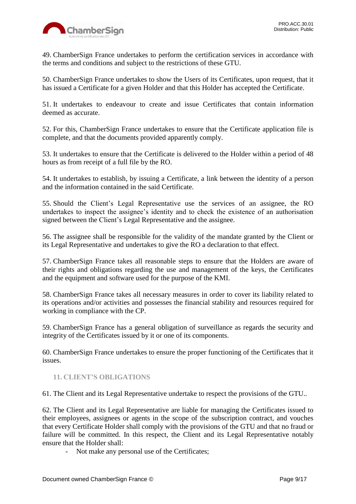49. ChamberSign France undertakes to perform the certification services in accordance with the terms and conditions and subject to the restrictions of these GTU.

50. ChamberSign France undertakes to show the Users of its Certificates, upon request, that it has issued a Certificate for a given Holder and that this Holder has accepted the Certificate.

51. It undertakes to endeavour to create and issue Certificates that contain information deemed as accurate.

52. For this, ChamberSign France undertakes to ensure that the Certificate application file is complete, and that the documents provided apparently comply.

53. It undertakes to ensure that the Certificate is delivered to the Holder within a period of 48 hours as from receipt of a full file by the RO.

54. It undertakes to establish, by issuing a Certificate, a link between the identity of a person and the information contained in the said Certificate.

55. Should the Client's Legal Representative use the services of an assignee, the RO undertakes to inspect the assignee's identity and to check the existence of an authorisation signed between the Client's Legal Representative and the assignee.

56. The assignee shall be responsible for the validity of the mandate granted by the Client or its Legal Representative and undertakes to give the RO a declaration to that effect.

57. ChamberSign France takes all reasonable steps to ensure that the Holders are aware of their rights and obligations regarding the use and management of the keys, the Certificates and the equipment and software used for the purpose of the KMI.

58. ChamberSign France takes all necessary measures in order to cover its liability related to its operations and/or activities and possesses the financial stability and resources required for working in compliance with the CP.

59. ChamberSign France has a general obligation of surveillance as regards the security and integrity of the Certificates issued by it or one of its components.

60. ChamberSign France undertakes to ensure the proper functioning of the Certificates that it issues.

## <span id="page-8-0"></span>**11. CLIENT'S OBLIGATIONS**

61. The Client and its Legal Representative undertake to respect the provisions of the GTU..

62. The Client and its Legal Representative are liable for managing the Certificates issued to their employees, assignees or agents in the scope of the subscription contract, and vouches that every Certificate Holder shall comply with the provisions of the GTU and that no fraud or failure will be committed. In this respect, the Client and its Legal Representative notably ensure that the Holder shall:

- Not make any personal use of the Certificates;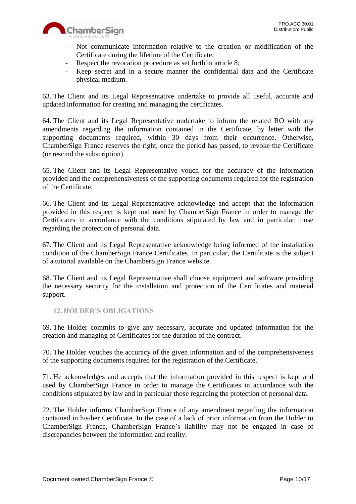

- Not communicate information relative to the creation or modification of the Certificate during the lifetime of the Certificate;
- Respect the revocation procedure as set forth in article 8;
- Keep secret and in a secure manner the confidential data and the Certificate physical medium.

63. The Client and its Legal Representative undertake to provide all useful, accurate and updated information for creating and managing the certificates.

64. The Client and its Legal Representative undertake to inform the related RO with any amendments regarding the information contained in the Certificate, by letter with the supporting documents required, within 30 days from their occurrence. Otherwise, ChamberSign France reserves the right, once the period has passed, to revoke the Certificate (or rescind the subscription).

65. The Client and its Legal Representative vouch for the accuracy of the information provided and the comprehensiveness of the supporting documents required for the registration of the Certificate.

66. The Client and its Legal Representative acknowledge and accept that the information provided in this respect is kept and used by ChamberSign France in order to manage the Certificates in accordance with the conditions stipulated by law and in particular those regarding the protection of personal data.

67. The Client and its Legal Representative acknowledge being informed of the installation condition of the ChamberSign France Certificates. In particular, the Certificate is the subject of a tutorial available on the ChamberSign France website.

68. The Client and its Legal Representative shall choose equipment and software providing the necessary security for the installation and protection of the Certificates and material support.

## <span id="page-9-0"></span>**12. HOLDER'S OBLIGATIONS**

69. The Holder commits to give any necessary, accurate and updated information for the creation and managing of Certificates for the duration of the contract.

70. The Holder vouches the accuracy of the given information and of the comprehensiveness of the supporting documents required for the registration of the Certificate.

71. He acknowledges and accepts that the information provided in this respect is kept and used by ChamberSign France in order to manage the Certificates in accordance with the conditions stipulated by law and in particular those regarding the protection of personal data.

72. The Holder informs ChamberSign France of any amendment regarding the information contained in his/her Certificate. In the case of a lack of prior information from the Holder to ChamberSign France, ChamberSign France's liability may not be engaged in case of discrepancies between the information and reality.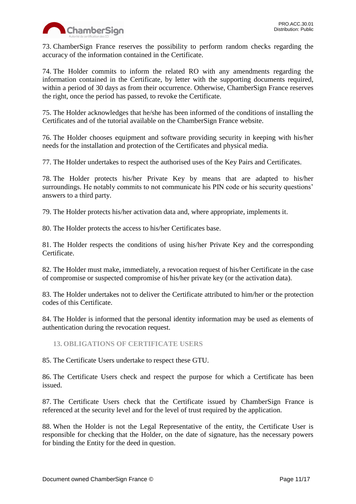

73. ChamberSign France reserves the possibility to perform random checks regarding the accuracy of the information contained in the Certificate.

74. The Holder commits to inform the related RO with any amendments regarding the information contained in the Certificate, by letter with the supporting documents required, within a period of 30 days as from their occurrence. Otherwise, ChamberSign France reserves the right, once the period has passed, to revoke the Certificate.

75. The Holder acknowledges that he/she has been informed of the conditions of installing the Certificates and of the tutorial available on the ChamberSign France website.

76. The Holder chooses equipment and software providing security in keeping with his/her needs for the installation and protection of the Certificates and physical media.

77. The Holder undertakes to respect the authorised uses of the Key Pairs and Certificates.

78. The Holder protects his/her Private Key by means that are adapted to his/her surroundings. He notably commits to not communicate his PIN code or his security questions' answers to a third party.

79. The Holder protects his/her activation data and, where appropriate, implements it.

80. The Holder protects the access to his/her Certificates base.

81. The Holder respects the conditions of using his/her Private Key and the corresponding Certificate.

82. The Holder must make, immediately, a revocation request of his/her Certificate in the case of compromise or suspected compromise of his/her private key (or the activation data).

83. The Holder undertakes not to deliver the Certificate attributed to him/her or the protection codes of this Certificate.

84. The Holder is informed that the personal identity information may be used as elements of authentication during the revocation request.

#### <span id="page-10-0"></span>**13. OBLIGATIONS OF CERTIFICATE USERS**

85. The Certificate Users undertake to respect these GTU.

86. The Certificate Users check and respect the purpose for which a Certificate has been issued.

87. The Certificate Users check that the Certificate issued by ChamberSign France is referenced at the security level and for the level of trust required by the application.

88. When the Holder is not the Legal Representative of the entity, the Certificate User is responsible for checking that the Holder, on the date of signature, has the necessary powers for binding the Entity for the deed in question.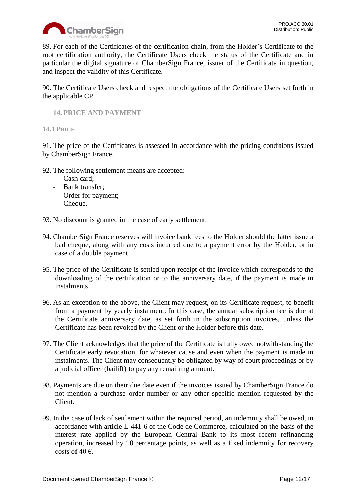

89. For each of the Certificates of the certification chain, from the Holder's Certificate to the root certification authority, the Certificate Users check the status of the Certificate and in particular the digital signature of ChamberSign France, issuer of the Certificate in question, and inspect the validity of this Certificate.

90. The Certificate Users check and respect the obligations of the Certificate Users set forth in the applicable CP.

## <span id="page-11-0"></span>**14. PRICE AND PAYMENT**

#### <span id="page-11-1"></span>**14.1 PRICE**

91. The price of the Certificates is assessed in accordance with the pricing conditions issued by ChamberSign France.

- 92. The following settlement means are accepted:
	- Cash card;
	- Bank transfer;
	- Order for payment;
	- Cheque.

93. No discount is granted in the case of early settlement.

- 94. ChamberSign France reserves will invoice bank fees to the Holder should the latter issue a bad cheque, along with any costs incurred due to a payment error by the Holder, or in case of a double payment
- 95. The price of the Certificate is settled upon receipt of the invoice which corresponds to the downloading of the certification or to the anniversary date, if the payment is made in instalments.
- 96. As an exception to the above, the Client may request, on its Certificate request, to benefit from a payment by yearly instalment. In this case, the annual subscription fee is due at the Certificate anniversary date, as set forth in the subscription invoices, unless the Certificate has been revoked by the Client or the Holder before this date.
- 97. The Client acknowledges that the price of the Certificate is fully owed notwithstanding the Certificate early revocation, for whatever cause and even when the payment is made in instalments. The Client may consequently be obligated by way of court proceedings or by a judicial officer (bailiff) to pay any remaining amount.
- 98. Payments are due on their due date even if the invoices issued by ChamberSign France do not mention a purchase order number or any other specific mention requested by the Client.
- 99. In the case of lack of settlement within the required period, an indemnity shall be owed, in accordance with article L 441-6 of the Code de Commerce, calculated on the basis of the interest rate applied by the European Central Bank to its most recent refinancing operation, increased by 10 percentage points, as well as a fixed indemnity for recovery costs of 40 $\epsilon$ .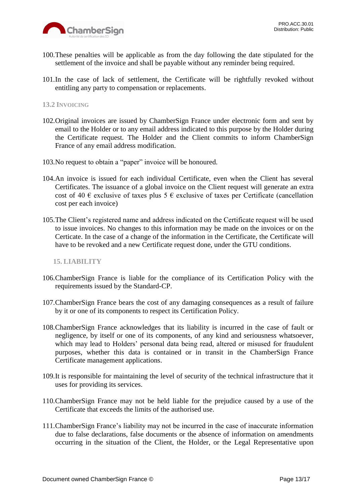

- 100.These penalties will be applicable as from the day following the date stipulated for the settlement of the invoice and shall be payable without any reminder being required.
- 101.In the case of lack of settlement, the Certificate will be rightfully revoked without entitling any party to compensation or replacements.

#### <span id="page-12-0"></span>**13.2 INVOICING**

- 102.Original invoices are issued by ChamberSign France under electronic form and sent by email to the Holder or to any email address indicated to this purpose by the Holder during the Certificate request. The Holder and the Client commits to inform ChamberSign France of any email address modification.
- 103.No request to obtain a "paper" invoice will be honoured.
- 104.An invoice is issued for each individual Certificate, even when the Client has several Certificates. The issuance of a global invoice on the Client request will generate an extra cost of 40  $\epsilon$  exclusive of taxes plus 5  $\epsilon$  exclusive of taxes per Certificate (cancellation cost per each invoice)
- 105.The Client's registered name and address indicated on the Certificate request will be used to issue invoices. No changes to this information may be made on the invoices or on the Certicate. In the case of a change of the information in the Certificate, the Certificate will have to be revoked and a new Certificate request done, under the GTU conditions.

<span id="page-12-1"></span>**15. LIABILITY**

- 106.ChamberSign France is liable for the compliance of its Certification Policy with the requirements issued by the Standard-CP.
- 107.ChamberSign France bears the cost of any damaging consequences as a result of failure by it or one of its components to respect its Certification Policy.
- 108.ChamberSign France acknowledges that its liability is incurred in the case of fault or negligence, by itself or one of its components, of any kind and seriousness whatsoever, which may lead to Holders' personal data being read, altered or misused for fraudulent purposes, whether this data is contained or in transit in the ChamberSign France Certificate management applications.
- 109.It is responsible for maintaining the level of security of the technical infrastructure that it uses for providing its services.
- 110.ChamberSign France may not be held liable for the prejudice caused by a use of the Certificate that exceeds the limits of the authorised use.
- 111.ChamberSign France's liability may not be incurred in the case of inaccurate information due to false declarations, false documents or the absence of information on amendments occurring in the situation of the Client, the Holder, or the Legal Representative upon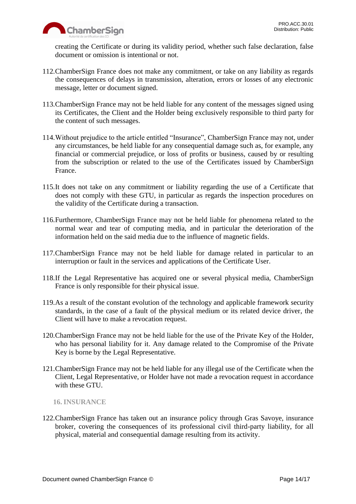

creating the Certificate or during its validity period, whether such false declaration, false document or omission is intentional or not.

- 112.ChamberSign France does not make any commitment, or take on any liability as regards the consequences of delays in transmission, alteration, errors or losses of any electronic message, letter or document signed.
- 113.ChamberSign France may not be held liable for any content of the messages signed using its Certificates, the Client and the Holder being exclusively responsible to third party for the content of such messages.
- 114.Without prejudice to the article entitled "Insurance", ChamberSign France may not, under any circumstances, be held liable for any consequential damage such as, for example, any financial or commercial prejudice, or loss of profits or business, caused by or resulting from the subscription or related to the use of the Certificates issued by ChamberSign France.
- 115.It does not take on any commitment or liability regarding the use of a Certificate that does not comply with these GTU, in particular as regards the inspection procedures on the validity of the Certificate during a transaction.
- 116.Furthermore, ChamberSign France may not be held liable for phenomena related to the normal wear and tear of computing media, and in particular the deterioration of the information held on the said media due to the influence of magnetic fields.
- 117.ChamberSign France may not be held liable for damage related in particular to an interruption or fault in the services and applications of the Certificate User.
- 118.If the Legal Representative has acquired one or several physical media, ChamberSign France is only responsible for their physical issue.
- 119.As a result of the constant evolution of the technology and applicable framework security standards, in the case of a fault of the physical medium or its related device driver, the Client will have to make a revocation request.
- 120.ChamberSign France may not be held liable for the use of the Private Key of the Holder, who has personal liability for it. Any damage related to the Compromise of the Private Key is borne by the Legal Representative.
- 121.ChamberSign France may not be held liable for any illegal use of the Certificate when the Client, Legal Representative, or Holder have not made a revocation request in accordance with these GTU.

<span id="page-13-0"></span>**16. INSURANCE**

122.ChamberSign France has taken out an insurance policy through Gras Savoye, insurance broker, covering the consequences of its professional civil third-party liability, for all physical, material and consequential damage resulting from its activity.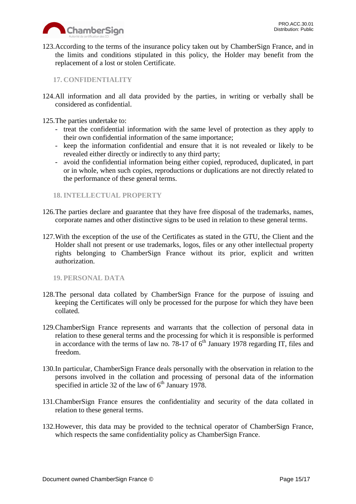

123.According to the terms of the insurance policy taken out by ChamberSign France, and in the limits and conditions stipulated in this policy, the Holder may benefit from the replacement of a lost or stolen Certificate.

<span id="page-14-0"></span>**17. CONFIDENTIALITY**

124.All information and all data provided by the parties, in writing or verbally shall be considered as confidential.

125.The parties undertake to:

- treat the confidential information with the same level of protection as they apply to their own confidential information of the same importance;
- keep the information confidential and ensure that it is not revealed or likely to be revealed either directly or indirectly to any third party;
- avoid the confidential information being either copied, reproduced, duplicated, in part or in whole, when such copies, reproductions or duplications are not directly related to the performance of these general terms.

## <span id="page-14-1"></span>**18. INTELLECTUAL PROPERTY**

- 126.The parties declare and guarantee that they have free disposal of the trademarks, names, corporate names and other distinctive signs to be used in relation to these general terms.
- 127.With the exception of the use of the Certificates as stated in the GTU, the Client and the Holder shall not present or use trademarks, logos, files or any other intellectual property rights belonging to ChamberSign France without its prior, explicit and written authorization.

<span id="page-14-2"></span>**19. PERSONAL DATA**

- 128.The personal data collated by ChamberSign France for the purpose of issuing and keeping the Certificates will only be processed for the purpose for which they have been collated.
- 129.ChamberSign France represents and warrants that the collection of personal data in relation to these general terms and the processing for which it is responsible is performed in accordance with the terms of law no. 78-17 of  $6<sup>th</sup>$  January 1978 regarding IT, files and freedom.
- 130.In particular, ChamberSign France deals personally with the observation in relation to the persons involved in the collation and processing of personal data of the information specified in article 32 of the law of  $6<sup>th</sup>$  January 1978.
- 131.ChamberSign France ensures the confidentiality and security of the data collated in relation to these general terms.
- 132.However, this data may be provided to the technical operator of ChamberSign France, which respects the same confidentiality policy as ChamberSign France.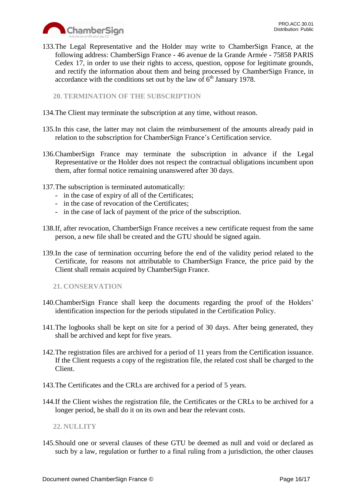

133.The Legal Representative and the Holder may write to ChamberSign France, at the following address: ChamberSign France - 46 avenue de la Grande Armée - 75858 PARIS Cedex 17, in order to use their rights to access, question, oppose for legitimate grounds, and rectify the information about them and being processed by ChamberSign France, in accordance with the conditions set out by the law of  $6<sup>th</sup>$  January 1978.

<span id="page-15-0"></span>**20. TERMINATION OF THE SUBSCRIPTION**

- 134.The Client may terminate the subscription at any time, without reason.
- 135.In this case, the latter may not claim the reimbursement of the amounts already paid in relation to the subscription for ChamberSign France's Certification service.
- 136.ChamberSign France may terminate the subscription in advance if the Legal Representative or the Holder does not respect the contractual obligations incumbent upon them, after formal notice remaining unanswered after 30 days.
- 137.The subscription is terminated automatically:
	- in the case of expiry of all of the Certificates;
	- in the case of revocation of the Certificates;
	- in the case of lack of payment of the price of the subscription.
- 138.If, after revocation, ChamberSign France receives a new certificate request from the same person, a new file shall be created and the GTU should be signed again.
- 139.In the case of termination occurring before the end of the validity period related to the Certificate, for reasons not attributable to ChamberSign France, the price paid by the Client shall remain acquired by ChamberSign France.

<span id="page-15-1"></span>**21. CONSERVATION**

- 140.ChamberSign France shall keep the documents regarding the proof of the Holders' identification inspection for the periods stipulated in the Certification Policy.
- 141.The logbooks shall be kept on site for a period of 30 days. After being generated, they shall be archived and kept for five years.
- 142.The registration files are archived for a period of 11 years from the Certification issuance. If the Client requests a copy of the registration file, the related cost shall be charged to the Client.
- 143.The Certificates and the CRLs are archived for a period of 5 years.
- 144.If the Client wishes the registration file, the Certificates or the CRLs to be archived for a longer period, he shall do it on its own and bear the relevant costs.

<span id="page-15-2"></span>**22. NULLITY**

145.Should one or several clauses of these GTU be deemed as null and void or declared as such by a law, regulation or further to a final ruling from a jurisdiction, the other clauses